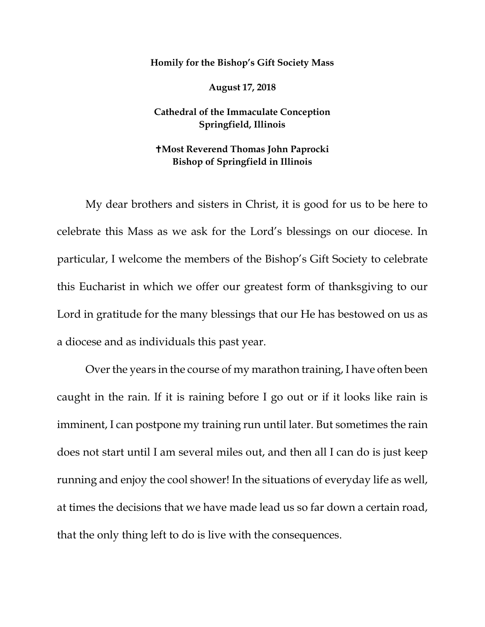## **Homily for the Bishop's Gift Society Mass**

**August 17, 2018**

## **Cathedral of the Immaculate Conception Springfield, Illinois**

## **Most Reverend Thomas John Paprocki Bishop of Springfield in Illinois**

My dear brothers and sisters in Christ, it is good for us to be here to celebrate this Mass as we ask for the Lord's blessings on our diocese. In particular, I welcome the members of the Bishop's Gift Society to celebrate this Eucharist in which we offer our greatest form of thanksgiving to our Lord in gratitude for the many blessings that our He has bestowed on us as a diocese and as individuals this past year.

Over the years in the course of my marathon training, I have often been caught in the rain. If it is raining before I go out or if it looks like rain is imminent, I can postpone my training run until later. But sometimes the rain does not start until I am several miles out, and then all I can do is just keep running and enjoy the cool shower! In the situations of everyday life as well, at times the decisions that we have made lead us so far down a certain road, that the only thing left to do is live with the consequences.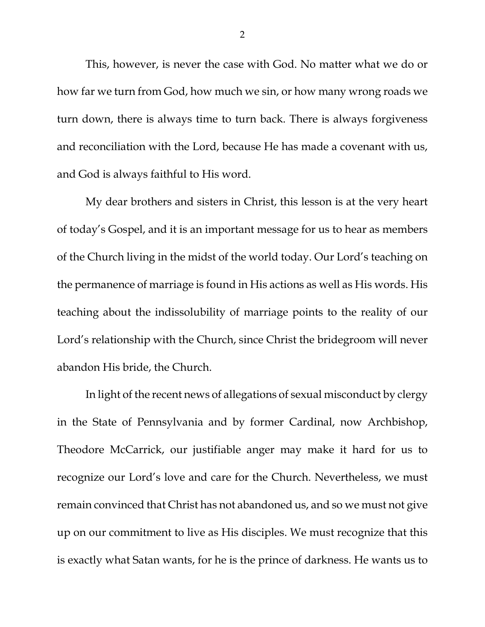This, however, is never the case with God. No matter what we do or how far we turn from God, how much we sin, or how many wrong roads we turn down, there is always time to turn back. There is always forgiveness and reconciliation with the Lord, because He has made a covenant with us, and God is always faithful to His word.

My dear brothers and sisters in Christ, this lesson is at the very heart of today's Gospel, and it is an important message for us to hear as members of the Church living in the midst of the world today. Our Lord's teaching on the permanence of marriage is found in His actions as well as His words. His teaching about the indissolubility of marriage points to the reality of our Lord's relationship with the Church, since Christ the bridegroom will never abandon His bride, the Church.

In light of the recent news of allegations of sexual misconduct by clergy in the State of Pennsylvania and by former Cardinal, now Archbishop, Theodore McCarrick, our justifiable anger may make it hard for us to recognize our Lord's love and care for the Church. Nevertheless, we must remain convinced that Christ has not abandoned us, and so we must not give up on our commitment to live as His disciples. We must recognize that this is exactly what Satan wants, for he is the prince of darkness. He wants us to

2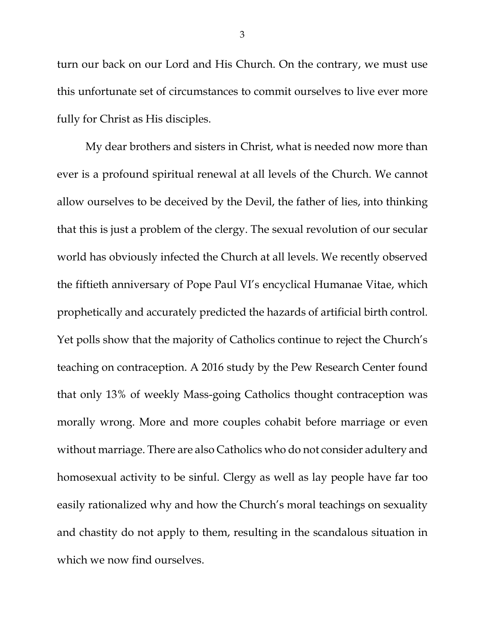turn our back on our Lord and His Church. On the contrary, we must use this unfortunate set of circumstances to commit ourselves to live ever more fully for Christ as His disciples.

My dear brothers and sisters in Christ, what is needed now more than ever is a profound spiritual renewal at all levels of the Church. We cannot allow ourselves to be deceived by the Devil, the father of lies, into thinking that this is just a problem of the clergy. The sexual revolution of our secular world has obviously infected the Church at all levels. We recently observed the fiftieth anniversary of Pope Paul VI's encyclical Humanae Vitae, which prophetically and accurately predicted the hazards of artificial birth control. Yet polls show that the majority of Catholics continue to reject the Church's teaching on contraception. A 2016 study by the Pew Research Center found that only 13% of weekly Mass-going Catholics thought contraception was morally wrong. More and more couples cohabit before marriage or even without marriage. There are also Catholics who do not consider adultery and homosexual activity to be sinful. Clergy as well as lay people have far too easily rationalized why and how the Church's moral teachings on sexuality and chastity do not apply to them, resulting in the scandalous situation in which we now find ourselves.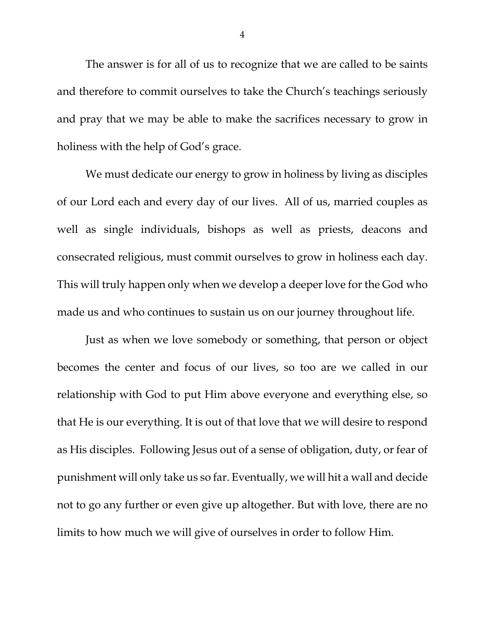The answer is for all of us to recognize that we are called to be saints and therefore to commit ourselves to take the Church's teachings seriously and pray that we may be able to make the sacrifices necessary to grow in holiness with the help of God's grace.

We must dedicate our energy to grow in holiness by living as disciples of our Lord each and every day of our lives. All of us, married couples as well as single individuals, bishops as well as priests, deacons and consecrated religious, must commit ourselves to grow in holiness each day. This will truly happen only when we develop a deeper love for the God who made us and who continues to sustain us on our journey throughout life.

Just as when we love somebody or something, that person or object becomes the center and focus of our lives, so too are we called in our relationship with God to put Him above everyone and everything else, so that He is our everything. It is out of that love that we will desire to respond as His disciples. Following Jesus out of a sense of obligation, duty, or fear of punishment will only take us so far. Eventually, we will hit a wall and decide not to go any further or even give up altogether. But with love, there are no limits to how much we will give of ourselves in order to follow Him.